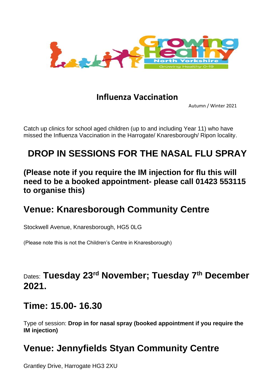

#### **Influenza Vaccination**

Autumn / Winter 2021

Catch up clinics for school aged children (up to and including Year 11) who have missed the Influenza Vaccination in the Harrogate/ Knaresborough/ Ripon locality.

# **DROP IN SESSIONS FOR THE NASAL FLU SPRAY**

**(Please note if you require the IM injection for flu this will need to be a booked appointment- please call 01423 553115 to organise this)**

## **Venue: Knaresborough Community Centre**

Stockwell Avenue, Knaresborough, HG5 0LG

(Please note this is not the Children's Centre in Knaresborough)

## Dates: **Tuesday 23rd November; Tuesday 7th December 2021.**

## **Time: 15.00- 16.30**

Type of session: **Drop in for nasal spray (booked appointment if you require the IM injection)**

## **Venue: Jennyfields Styan Community Centre**

Grantley Drive, Harrogate HG3 2XU